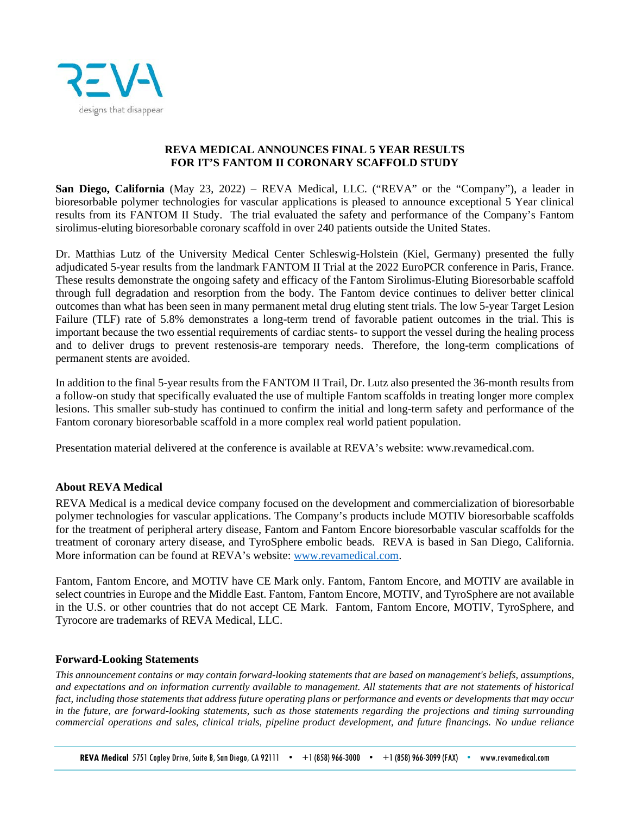

## **REVA MEDICAL ANNOUNCES FINAL 5 YEAR RESULTS FOR IT'S FANTOM II CORONARY SCAFFOLD STUDY**

**San Diego, California** (May 23, 2022) – REVA Medical, LLC. ("REVA" or the "Company"), a leader in bioresorbable polymer technologies for vascular applications is pleased to announce exceptional 5 Year clinical results from its FANTOM II Study. The trial evaluated the safety and performance of the Company's Fantom sirolimus-eluting bioresorbable coronary scaffold in over 240 patients outside the United States.

Dr. Matthias Lutz of the University Medical Center Schleswig-Holstein (Kiel, Germany) presented the fully adjudicated 5-year results from the landmark FANTOM II Trial at the 2022 EuroPCR conference in Paris, France. These results demonstrate the ongoing safety and efficacy of the Fantom Sirolimus-Eluting Bioresorbable scaffold through full degradation and resorption from the body. The Fantom device continues to deliver better clinical outcomes than what has been seen in many permanent metal drug eluting stent trials. The low 5-year Target Lesion Failure (TLF) rate of 5.8% demonstrates a long-term trend of favorable patient outcomes in the trial. This is important because the two essential requirements of cardiac stents- to support the vessel during the healing process and to deliver drugs to prevent restenosis-are temporary needs. Therefore, the long-term complications of permanent stents are avoided.

In addition to the final 5-year results from the FANTOM II Trail, Dr. Lutz also presented the 36-month results from a follow-on study that specifically evaluated the use of multiple Fantom scaffolds in treating longer more complex lesions. This smaller sub-study has continued to confirm the initial and long-term safety and performance of the Fantom coronary bioresorbable scaffold in a more complex real world patient population.

Presentation material delivered at the conference is available at REVA's website: www.revamedical.com.

## **About REVA Medical**

REVA Medical is a medical device company focused on the development and commercialization of bioresorbable polymer technologies for vascular applications. The Company's products include MOTIV bioresorbable scaffolds for the treatment of peripheral artery disease, Fantom and Fantom Encore bioresorbable vascular scaffolds for the treatment of coronary artery disease, and TyroSphere embolic beads. REVA is based in San Diego, California. More information can be found at REVA's website: [www.revamedical.com.](http://www.revamedical.com/)

Fantom, Fantom Encore, and MOTIV have CE Mark only. Fantom, Fantom Encore, and MOTIV are available in select countries in Europe and the Middle East. Fantom, Fantom Encore, MOTIV, and TyroSphere are not available in the U.S. or other countries that do not accept CE Mark. Fantom, Fantom Encore, MOTIV, TyroSphere, and Tyrocore are trademarks of REVA Medical, LLC.

## **Forward-Looking Statements**

*This announcement contains or may contain forward-looking statements that are based on management's beliefs, assumptions, and expectations and on information currently available to management. All statements that are not statements of historical fact, including those statements that address future operating plans or performance and events or developments that may occur in the future, are forward-looking statements, such as those statements regarding the projections and timing surrounding commercial operations and sales, clinical trials, pipeline product development, and future financings. No undue reliance*